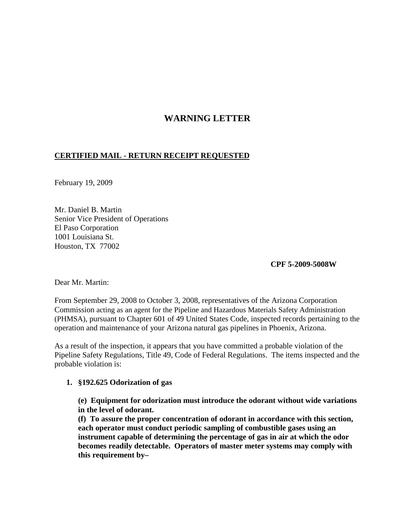## **WARNING LETTER**

## **CERTIFIED MAIL - RETURN RECEIPT REQUESTED**

February 19, 2009

Mr. Daniel B. Martin Senior Vice President of Operations El Paso Corporation 1001 Louisiana St. Houston, TX 77002

**CPF 5-2009-5008W**

Dear Mr. Martin:

From September 29, 2008 to October 3, 2008, representatives of the Arizona Corporation Commission acting as an agent for the Pipeline and Hazardous Materials Safety Administration (PHMSA), pursuant to Chapter 601 of 49 United States Code, inspected records pertaining to the operation and maintenance of your Arizona natural gas pipelines in Phoenix, Arizona.

As a result of the inspection, it appears that you have committed a probable violation of the Pipeline Safety Regulations, Title 49, Code of Federal Regulations. The items inspected and the probable violation is:

## **1. §192.625 Odorization of gas**

**(e) Equipment for odorization must introduce the odorant without wide variations in the level of odorant.**

**(f) To assure the proper concentration of odorant in accordance with this section, each operator must conduct periodic sampling of combustible gases using an instrument capable of determining the percentage of gas in air at which the odor becomes readily detectable. Operators of master meter systems may comply with this requirement by–**